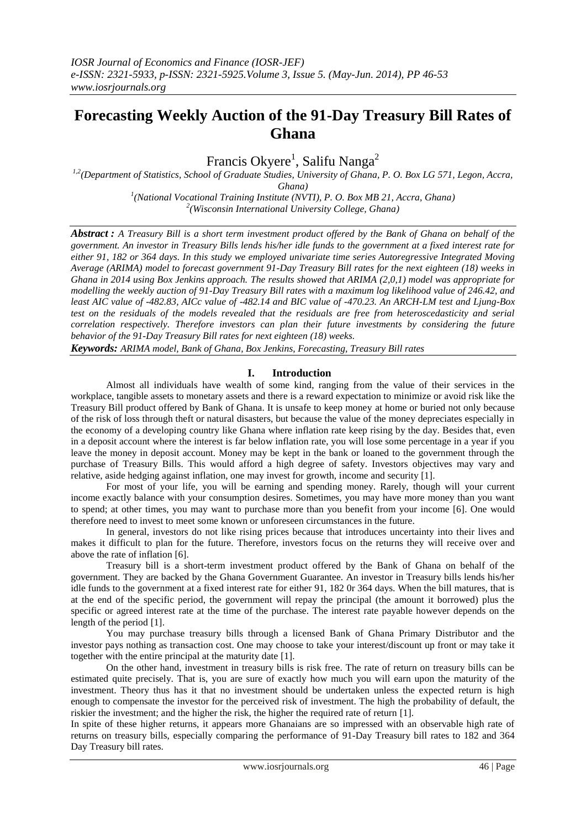# **Forecasting Weekly Auction of the 91-Day Treasury Bill Rates of Ghana**

Francis Okyere<sup>1</sup>, Salifu Nanga<sup>2</sup>

*1,2(Department of Statistics, School of Graduate Studies, University of Ghana, P. O. Box LG 571, Legon, Accra, Ghana)*

> *1 (National Vocational Training Institute (NVTI), P. O. Box MB 21, Accra, Ghana) 2 (Wisconsin International University College, Ghana)*

*Abstract : A Treasury Bill is a short term investment product offered by the Bank of Ghana on behalf of the government. An investor in Treasury Bills lends his/her idle funds to the government at a fixed interest rate for either 91, 182 or 364 days. In this study we employed univariate time series Autoregressive Integrated Moving Average (ARIMA) model to forecast government 91-Day Treasury Bill rates for the next eighteen (18) weeks in Ghana in 2014 using Box Jenkins approach. The results showed that ARIMA (2,0,1) model was appropriate for modelling the weekly auction of 91-Day Treasury Bill rates with a maximum log likelihood value of 246.42, and least AIC value of -482.83, AICc value of -482.14 and BIC value of -470.23. An ARCH-LM test and Ljung-Box test on the residuals of the models revealed that the residuals are free from heteroscedasticity and serial correlation respectively. Therefore investors can plan their future investments by considering the future behavior of the 91-Day Treasury Bill rates for next eighteen (18) weeks.*

*Keywords: ARIMA model, Bank of Ghana, Box Jenkins, Forecasting, Treasury Bill rates*

# **I. Introduction**

Almost all individuals have wealth of some kind, ranging from the value of their services in the workplace, tangible assets to monetary assets and there is a reward expectation to minimize or avoid risk like the Treasury Bill product offered by Bank of Ghana. It is unsafe to keep money at home or buried not only because of the risk of loss through theft or natural disasters, but because the value of the money depreciates especially in the economy of a developing country like Ghana where inflation rate keep rising by the day. Besides that, even in a deposit account where the interest is far below inflation rate, you will lose some percentage in a year if you leave the money in deposit account. Money may be kept in the bank or loaned to the government through the purchase of Treasury Bills. This would afford a high degree of safety. Investors objectives may vary and relative, aside hedging against inflation, one may invest for growth, income and security [1].

For most of your life, you will be earning and spending money. Rarely, though will your current income exactly balance with your consumption desires. Sometimes, you may have more money than you want to spend; at other times, you may want to purchase more than you benefit from your income [6]. One would therefore need to invest to meet some known or unforeseen circumstances in the future.

In general, investors do not like rising prices because that introduces uncertainty into their lives and makes it difficult to plan for the future. Therefore, investors focus on the returns they will receive over and above the rate of inflation [6].

Treasury bill is a short-term investment product offered by the Bank of Ghana on behalf of the government. They are backed by the Ghana Government Guarantee. An investor in Treasury bills lends his/her idle funds to the government at a fixed interest rate for either 91, 182 0r 364 days. When the bill matures, that is at the end of the specific period, the government will repay the principal (the amount it borrowed) plus the specific or agreed interest rate at the time of the purchase. The interest rate payable however depends on the length of the period [1].

You may purchase treasury bills through a licensed Bank of Ghana Primary Distributor and the investor pays nothing as transaction cost. One may choose to take your interest/discount up front or may take it together with the entire principal at the maturity date [1].

On the other hand, investment in treasury bills is risk free. The rate of return on treasury bills can be estimated quite precisely. That is, you are sure of exactly how much you will earn upon the maturity of the investment. Theory thus has it that no investment should be undertaken unless the expected return is high enough to compensate the investor for the perceived risk of investment. The high the probability of default, the riskier the investment; and the higher the risk, the higher the required rate of return [1].

In spite of these higher returns, it appears more Ghanaians are so impressed with an observable high rate of returns on treasury bills, especially comparing the performance of 91-Day Treasury bill rates to 182 and 364 Day Treasury bill rates.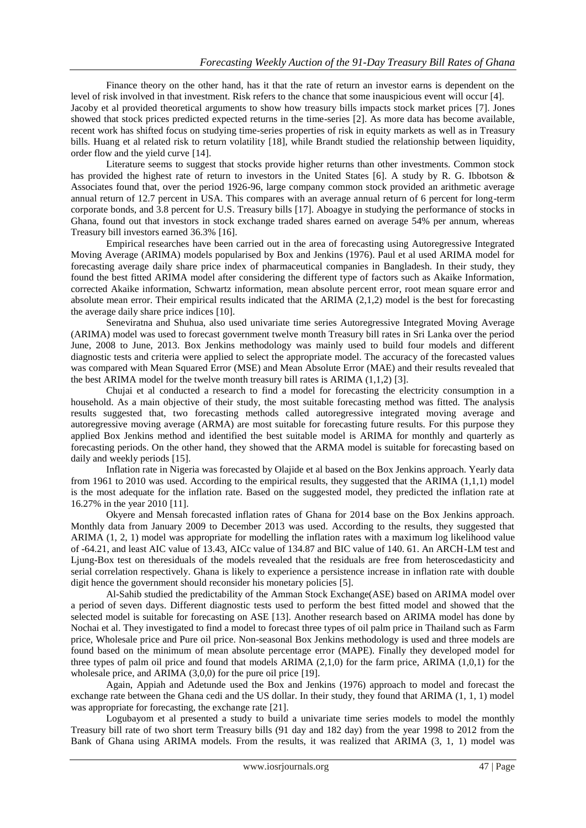Finance theory on the other hand, has it that the rate of return an investor earns is dependent on the level of risk involved in that investment. Risk refers to the chance that some inauspicious event will occur [4]. Jacoby et al provided theoretical arguments to show how treasury bills impacts stock market prices [7]. Jones showed that stock prices predicted expected returns in the time-series [2]. As more data has become available, recent work has shifted focus on studying time-series properties of risk in equity markets as well as in Treasury bills. Huang et al related risk to return volatility [18], while Brandt studied the relationship between liquidity, order flow and the yield curve [14].

Literature seems to suggest that stocks provide higher returns than other investments. Common stock has provided the highest rate of return to investors in the United States [6]. A study by R. G. Ibbotson & Associates found that, over the period 1926-96, large company common stock provided an arithmetic average annual return of 12.7 percent in USA. This compares with an average annual return of 6 percent for long-term corporate bonds, and 3.8 percent for U.S. Treasury bills [17]. Aboagye in studying the performance of stocks in Ghana, found out that investors in stock exchange traded shares earned on average 54% per annum, whereas Treasury bill investors earned 36.3% [16].

Empirical researches have been carried out in the area of forecasting using Autoregressive Integrated Moving Average (ARIMA) models popularised by Box and Jenkins (1976). Paul et al used ARIMA model for forecasting average daily share price index of pharmaceutical companies in Bangladesh. In their study, they found the best fitted ARIMA model after considering the different type of factors such as Akaike Information, corrected Akaike information, Schwartz information, mean absolute percent error, root mean square error and absolute mean error. Their empirical results indicated that the ARIMA (2,1,2) model is the best for forecasting the average daily share price indices [10].

Seneviratna and Shuhua, also used univariate time series Autoregressive Integrated Moving Average (ARIMA) model was used to forecast government twelve month Treasury bill rates in Sri Lanka over the period June, 2008 to June, 2013. Box Jenkins methodology was mainly used to build four models and different diagnostic tests and criteria were applied to select the appropriate model. The accuracy of the forecasted values was compared with Mean Squared Error (MSE) and Mean Absolute Error (MAE) and their results revealed that the best ARIMA model for the twelve month treasury bill rates is ARIMA  $(1,1,2)$  [3].

Chujai et al conducted a research to find a model for forecasting the electricity consumption in a household. As a main objective of their study, the most suitable forecasting method was fitted. The analysis results suggested that, two forecasting methods called autoregressive integrated moving average and autoregressive moving average (ARMA) are most suitable for forecasting future results. For this purpose they applied Box Jenkins method and identified the best suitable model is ARIMA for monthly and quarterly as forecasting periods. On the other hand, they showed that the ARMA model is suitable for forecasting based on daily and weekly periods [15].

Inflation rate in Nigeria was forecasted by Olajide et al based on the Box Jenkins approach. Yearly data from 1961 to 2010 was used. According to the empirical results, they suggested that the ARIMA (1,1,1) model is the most adequate for the inflation rate. Based on the suggested model, they predicted the inflation rate at 16.27% in the year 2010 [11].

Okyere and Mensah forecasted inflation rates of Ghana for 2014 base on the Box Jenkins approach. Monthly data from January 2009 to December 2013 was used. According to the results, they suggested that ARIMA (1, 2, 1) model was appropriate for modelling the inflation rates with a maximum log likelihood value of -64.21, and least AIC value of 13.43, AICc value of 134.87 and BIC value of 140. 61. An ARCH-LM test and Ljung-Box test on theresiduals of the models revealed that the residuals are free from heteroscedasticity and serial correlation respectively. Ghana is likely to experience a persistence increase in inflation rate with double digit hence the government should reconsider his monetary policies [5].

Al-Sahib studied the predictability of the Amman Stock Exchange(ASE) based on ARIMA model over a period of seven days. Different diagnostic tests used to perform the best fitted model and showed that the selected model is suitable for forecasting on ASE [13]. Another research based on ARIMA model has done by Nochai et al. They investigated to find a model to forecast three types of oil palm price in Thailand such as Farm price, Wholesale price and Pure oil price. Non-seasonal Box Jenkins methodology is used and three models are found based on the minimum of mean absolute percentage error (MAPE). Finally they developed model for three types of palm oil price and found that models ARIMA (2,1,0) for the farm price, ARIMA (1,0,1) for the wholesale price, and ARIMA (3,0,0) for the pure oil price [19].

Again, Appiah and Adetunde used the Box and Jenkins (1976) approach to model and forecast the exchange rate between the Ghana cedi and the US dollar. In their study, they found that ARIMA (1, 1, 1) model was appropriate for forecasting, the exchange rate [21].

Logubayom et al presented a study to build a univariate time series models to model the monthly Treasury bill rate of two short term Treasury bills (91 day and 182 day) from the year 1998 to 2012 from the Bank of Ghana using ARIMA models. From the results, it was realized that ARIMA (3, 1, 1) model was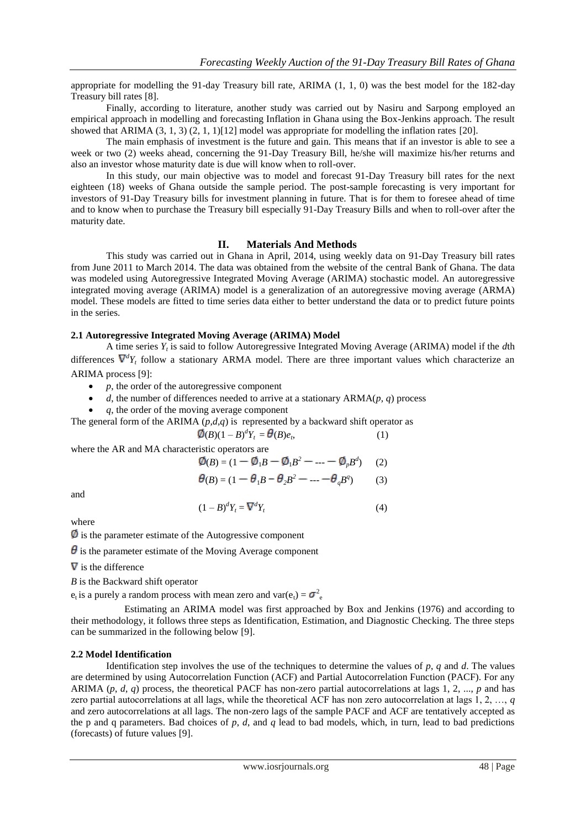appropriate for modelling the 91-day Treasury bill rate, ARIMA (1, 1, 0) was the best model for the 182-day Treasury bill rates [8].

Finally, according to literature, another study was carried out by Nasiru and Sarpong employed an empirical approach in modelling and forecasting Inflation in Ghana using the Box-Jenkins approach. The result showed that ARIMA (3, 1, 3) (2, 1, 1)[12] model was appropriate for modelling the inflation rates [20].

The main emphasis of investment is the future and gain. This means that if an investor is able to see a week or two (2) weeks ahead, concerning the 91-Day Treasury Bill, he/she will maximize his/her returns and also an investor whose maturity date is due will know when to roll-over.

In this study, our main objective was to model and forecast 91-Day Treasury bill rates for the next eighteen (18) weeks of Ghana outside the sample period. The post-sample forecasting is very important for investors of 91-Day Treasury bills for investment planning in future. That is for them to foresee ahead of time and to know when to purchase the Treasury bill especially 91-Day Treasury Bills and when to roll-over after the maturity date.

## **II. Materials And Methods**

This study was carried out in Ghana in April, 2014, using weekly data on 91-Day Treasury bill rates from June 2011 to March 2014. The data was obtained from the website of the central Bank of Ghana. The data was modeled using Autoregressive Integrated Moving Average (ARIMA) stochastic model. An autoregressive integrated moving average (ARIMA) [model](http://en.wikipedia.org/wiki/Mathematical_model) is a generalization of an [autoregressive moving average](http://en.wikipedia.org/wiki/Autoregressive_moving_average) (ARMA) model. These models are fitted to [time series](http://en.wikipedia.org/wiki/Time_series) data either to better understand the data or to predict future points in the series.

## **2.1 Autoregressive Integrated Moving Average (ARIMA) Model**

A time series *Y<sup>t</sup>* is said to follow Autoregressive Integrated Moving Average (ARIMA) model if the *d*th differences  $\nabla^d Y_t$  follow a stationary ARMA model. There are three important values which characterize an ARIMA process [9]:

- *p*, the order of the autoregressive component
- $\bullet$  *d*, the number of differences needed to arrive at a stationary ARMA( $p$ ,  $q$ ) process
- *q*, the order of the moving average component

The general form of the ARIMA  $(p,d,q)$  is represented by a backward shift operator as

$$
\mathcal{O}(B)(1-B)^d Y_t = \mathcal{O}(B)e_t, \qquad (1)
$$

where the AR and MA characteristic operators are

$$
\emptyset(B) = (1 - \emptyset_1 B - \emptyset_1 B^2 - \dots - \emptyset_p B^d) \tag{2}
$$

$$
\theta(B) = (1 - \theta_1 B - \theta_2 B^2 - \dots - \theta_q B^q) \tag{3}
$$

and

$$
(1 - B)^d Y_t = \nabla^d Y_t \tag{4}
$$

where

 $\emptyset$  is the parameter estimate of the Autogressive component

 $\theta$  is the parameter estimate of the Moving Average component

 $\nabla$  is the difference

*B* is the Backward shift operator

 $e_t$  is a purely a random process with mean zero and var $(e_t) = \sigma_{e}^2$ 

Estimating an ARIMA model was first approached by Box and Jenkins (1976) and according to their methodology, it follows three steps as Identification, Estimation, and Diagnostic Checking. The three steps can be summarized in the following below [9].

## **2.2 Model Identification**

Identification step involves the use of the techniques to determine the values of *p*, *q* and *d*. The values are determined by using Autocorrelation Function (ACF) and Partial Autocorrelation Function (PACF). For any ARIMA  $(p, d, q)$  process, the theoretical PACF has non-zero partial autocorrelations at lags 1, 2, ..., *p* and has zero partial autocorrelations at all lags, while the theoretical ACF has non zero autocorrelation at lags 1, 2, …, *q*  and zero autocorrelations at all lags. The non-zero lags of the sample PACF and ACF are tentatively accepted as the p and q parameters. Bad choices of  $p$ ,  $d$ , and  $q$  lead to bad models, which, in turn, lead to bad predictions (forecasts) of future values [9].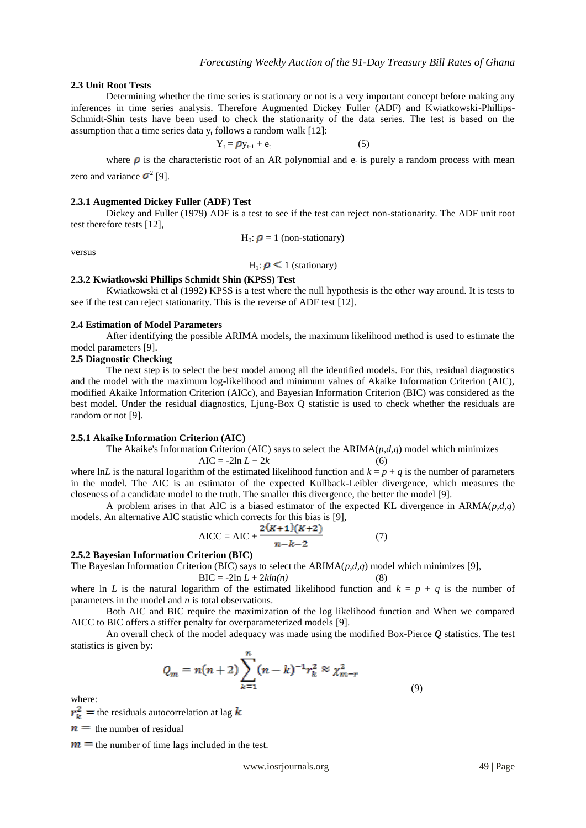## **2.3 Unit Root Tests**

Determining whether the time series is stationary or not is a very important concept before making any inferences in time series analysis. Therefore Augmented Dickey Fuller (ADF) and Kwiatkowski-Phillips-Schmidt-Shin tests have been used to check the stationarity of the data series. The test is based on the assumption that a time series data  $y_t$  follows a random walk [12]:

$$
Y_t = \rho y_{t-1} + e_t \tag{5}
$$

where  $\rho$  is the characteristic root of an AR polynomial and  $e_t$  is purely a random process with mean zero and variance  $\sigma^2$  [9].

#### **2.3.1 Augmented Dickey Fuller (ADF) Test**

Dickey and Fuller (1979) ADF is a test to see if the test can reject non-stationarity. The ADF unit root test therefore tests [12],

 $H_0$ :  $\rho = 1$  (non-stationary)

versus

 $H_1: \rho \leq 1$  (stationary)

# **2.3.2 Kwiatkowski Phillips Schmidt Shin (KPSS) Test**

Kwiatkowski et al (1992) KPSS is a test where the null hypothesis is the other way around. It is tests to see if the test can reject stationarity. This is the reverse of ADF test [12].

#### **2.4 Estimation of Model Parameters**

After identifying the possible ARIMA models, the maximum likelihood method is used to estimate the model parameters [9].

#### **2.5 Diagnostic Checking**

The next step is to select the best model among all the identified models. For this, residual diagnostics and the model with the maximum log-likelihood and minimum values of Akaike Information Criterion (AIC), modified Akaike Information Criterion (AICc), and Bayesian Information Criterion (BIC) was considered as the best model. Under the residual diagnostics, Ljung-Box Q statistic is used to check whether the residuals are random or not [9].

#### **2.5.1 Akaike Information Criterion (AIC)**

The Akaike's Information Criterion (AIC) says to select the ARIMA(*p,d,q*) model which minimizes  $AIC = -2ln L + 2k$ 

where ln*L* is the natural logarithm of the estimated likelihood function and  $k = p + q$  is the number of parameters in the model. The AIC is an estimator of the expected Kullback-Leibler divergence, which measures the closeness of a candidate model to the truth. The smaller this divergence, the better the model [9].

A problem arises in that AIC is a biased estimator of the expected KL divergence in  $ARMA(p,d,q)$ models. An alternative AIC statistic which corrects for this bias is [9],

AICC = AIC + 
$$
\frac{2(K+1)(K+2)}{n-k-2}
$$
 (7)

## **2.5.2 Bayesian Information Criterion (BIC)**

The Bayesian Information Criterion (BIC) says to select the ARIMA(*p,d,q*) model which minimizes [9],

 $BIC = -2\ln L + 2kln(n)$  (8)

where ln *L* is the natural logarithm of the estimated likelihood function and  $k = p + q$  is the number of parameters in the model and *n* is total observations.

Both AIC and BIC require the maximization of the log likelihood function and When we compared AICC to BIC offers a stiffer penalty for overparameterized models [9].

An overall check of the model adequacy was made using the modified Box-Pierce *Q* statistics. The test statistics is given by:

$$
Q_m = n(n+2) \sum_{k=1}^{n} (n-k)^{-1} r_k^2 \approx \chi_{m-r}^2
$$
\n(9)

where:

 $r_k^2$  = the residuals autocorrelation at lag  $k$ 

 $n =$  the number of residual

 $m =$  the number of time lags included in the test.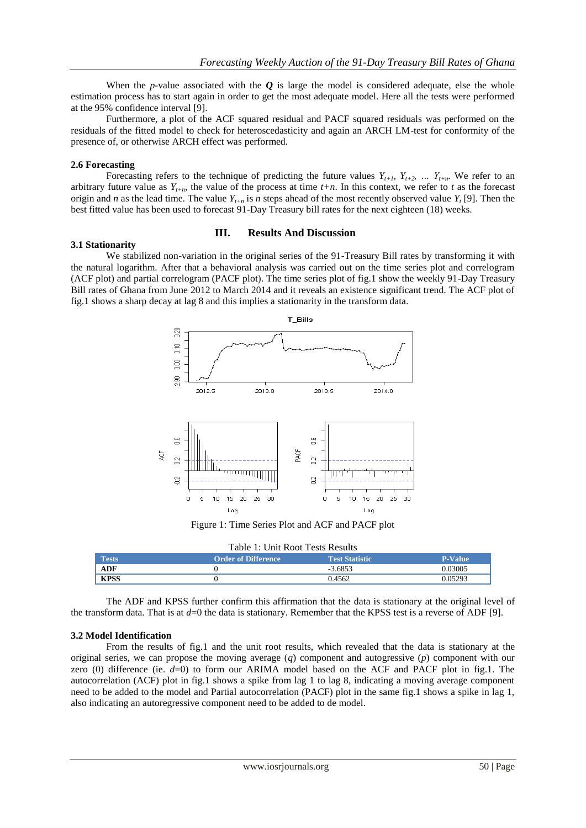When the *p*-value associated with the  $\boldsymbol{Q}$  is large the model is considered adequate, else the whole estimation process has to start again in order to get the most adequate model. Here all the tests were performed at the 95% confidence interval [9].

Furthermore, a plot of the ACF squared residual and PACF squared residuals was performed on the residuals of the fitted model to check for heteroscedasticity and again an ARCH LM-test for conformity of the presence of, or otherwise ARCH effect was performed.

## **2.6 Forecasting**

Forecasting refers to the technique of predicting the future values  $Y_{t+1}$ ,  $Y_{t+2}$ , ...  $Y_{t+n}$ . We refer to an arbitrary future value as  $Y_{t+n}$ , the value of the process at time  $t+n$ . In this context, we refer to  $t$  as the forecast origin and *n* as the lead time. The value  $Y_{t+n}$  is *n* steps ahead of the most recently observed value  $Y_t$  [9]. Then the best fitted value has been used to forecast 91-Day Treasury bill rates for the next eighteen (18) weeks.

#### **III. Results And Discussion**

#### **3.1 Stationarity**

We stabilized non-variation in the original series of the 91-Treasury Bill rates by transforming it with the natural logarithm. After that a behavioral analysis was carried out on the time series plot and correlogram (ACF plot) and partial correlogram (PACF plot). The time series plot of fig.1 show the weekly 91-Day Treasury Bill rates of Ghana from June 2012 to March 2014 and it reveals an existence significant trend. The ACF plot of fig.1 shows a sharp decay at lag 8 and this implies a stationarity in the transform data.



Figure 1: Time Series Plot and ACF and PACF plot

| Table 1: Unit Root Tests Results |                            |                       |                |  |
|----------------------------------|----------------------------|-----------------------|----------------|--|
| <b>Tests</b>                     | <b>Order of Difference</b> | <b>Test Statistic</b> | <b>P-Value</b> |  |
| <b>ADF</b>                       |                            | $-3.6853$             | 0.3005         |  |
| <b>KPSS</b>                      |                            | 0.4562                | 0.05293        |  |

The ADF and KPSS further confirm this affirmation that the data is stationary at the original level of the transform data. That is at  $d=0$  the data is stationary. Remember that the KPSS test is a reverse of ADF [9].

## **3.2 Model Identification**

From the results of fig.1 and the unit root results, which revealed that the data is stationary at the original series, we can propose the moving average (*q*) component and autogressive (*p*) component with our zero (0) difference (ie.  $d=0$ ) to form our ARIMA model based on the ACF and PACF plot in fig.1. The autocorrelation (ACF) plot in fig.1 shows a spike from lag 1 to lag 8, indicating a moving average component need to be added to the model and Partial autocorrelation (PACF) plot in the same fig.1 shows a spike in lag 1, also indicating an autoregressive component need to be added to de model.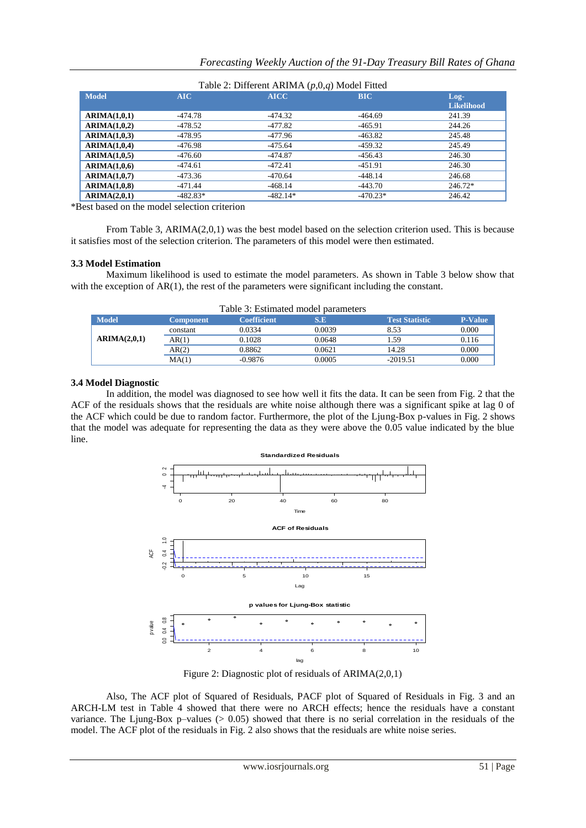| $\frac{1}{2}$ and $\frac{1}{2}$ . If there is the contract $\frac{1}{2}$ (p, 0, 0, 0) and contract the contract of the contract of the contract of the contract of the contract of the contract of the contract of the contract of the co |            |             |            |                              |
|-------------------------------------------------------------------------------------------------------------------------------------------------------------------------------------------------------------------------------------------|------------|-------------|------------|------------------------------|
| <b>Model</b>                                                                                                                                                                                                                              | <b>AIC</b> | <b>AICC</b> | <b>BIC</b> | $Log-1$<br><b>Likelihood</b> |
| ARIMA(1,0,1)                                                                                                                                                                                                                              | -474.78    | -474.32     | $-464.69$  | 241.39                       |
| ARIMA(1,0,2)                                                                                                                                                                                                                              | -478.52    | $-477.82$   | $-465.91$  | 244.26                       |
| ARIMA(1,0,3)                                                                                                                                                                                                                              | -478.95    | -477.96     | $-463.82$  | 245.48                       |
| ARIMA(1,0,4)                                                                                                                                                                                                                              | -476.98    | $-475.64$   | $-459.32$  | 245.49                       |
| ARIMA(1,0,5)                                                                                                                                                                                                                              | $-476.60$  | $-474.87$   | $-456.43$  | 246.30                       |
| ARIMA(1,0,6)                                                                                                                                                                                                                              | -474.61    | $-472.41$   | $-451.91$  | 246.30                       |
| ARIMA(1,0,7)                                                                                                                                                                                                                              | -473.36    | $-470.64$   | $-448.14$  | 246.68                       |
| ARIMA(1,0,8)                                                                                                                                                                                                                              | -471.44    | $-468.14$   | $-443.70$  | 246.72*                      |
| ARIMA(2,0,1)                                                                                                                                                                                                                              | $-482.83*$ | $-482.14*$  | $-470.23*$ | 246.42                       |

## Table 2: Different ARIMA (*p*,0,*q*) Model Fitted

\*Best based on the model selection criterion

From Table 3, ARIMA(2,0,1) was the best model based on the selection criterion used. This is because it satisfies most of the selection criterion. The parameters of this model were then estimated.

## **3.3 Model Estimation**

Maximum likelihood is used to estimate the model parameters. As shown in Table 3 below show that with the exception of  $AR(1)$ , the rest of the parameters were significant including the constant.

| Table 3: Estimated model parameters |                  |                    |        |                       |                |
|-------------------------------------|------------------|--------------------|--------|-----------------------|----------------|
| <b>Model</b>                        | <b>Component</b> | <b>Coefficient</b> | S.E    | <b>Test Statistic</b> | <b>P-Value</b> |
| ARIMA(2,0,1)                        | constant         | 0.0334             | 0.0039 | 8.53                  | 0.000          |
|                                     | AR(1)            | 0.1028             | 0.0648 | 1.59                  | 0.116          |
|                                     | AR(2)            | 0.8862             | 0.0621 | 14.28                 | 0.000          |
|                                     | MA(1)            | $-0.9876$          | 0.0005 | $-2019.51$            | 0.000          |

## Table 3: Estimated model parameters

#### **3.4 Model Diagnostic**

In addition, the model was diagnosed to see how well it fits the data. It can be seen from Fig. 2 that the ACF of the residuals shows that the residuals are white noise although there was a significant spike at lag 0 of the ACF which could be due to random factor. Furthermore, the plot of the Ljung-Box p-values in Fig. 2 shows that the model was adequate for representing the data as they were above the 0.05 value indicated by the blue line.



Figure 2: Diagnostic plot of residuals of ARIMA(2,0,1)

Also, The ACF plot of Squared of Residuals, PACF plot of Squared of Residuals in Fig. 3 and an ARCH-LM test in Table 4 showed that there were no ARCH effects; hence the residuals have a constant variance. The Ljung-Box p–values (> 0.05) showed that there is no serial correlation in the residuals of the model. The ACF plot of the residuals in Fig. 2 also shows that the residuals are white noise series.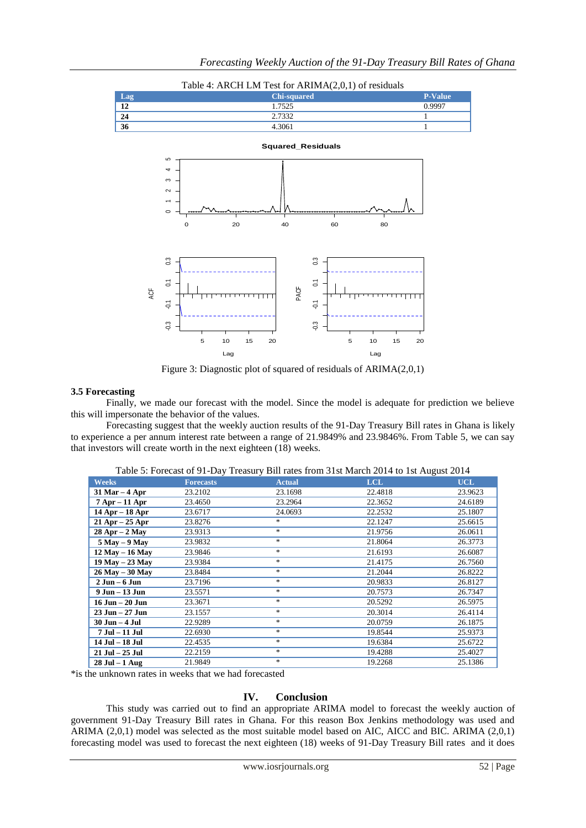

Figure 3: Diagnostic plot of squared of residuals of ARIMA(2,0,1)

#### **3.5 Forecasting**

Finally, we made our forecast with the model. Since the model is adequate for prediction we believe this will impersonate the behavior of the values.

Forecasting suggest that the weekly auction results of the 91-Day Treasury Bill rates in Ghana is likely to experience a per annum interest rate between a range of 21.9849% and 23.9846%. From Table 5, we can say that investors will create worth in the next eighteen (18) weeks.

| <b>Weeks</b>        | <b>Forecasts</b> | $- - - - - - - -$<br><b>Actual</b> | <b>LCL</b> | <b>UCL</b> |
|---------------------|------------------|------------------------------------|------------|------------|
| $31$ Mar $-4$ Apr   | 23.2102          | 23.1698                            | 22.4818    | 23.9623    |
| $7$ Apr $-11$ Apr   | 23.4650          | 23.2964                            | 22.3652    | 24.6189    |
| $14$ Apr $-18$ Apr  | 23.6717          | 24.0693                            | 22.2532    | 25.1807    |
| $21$ Apr $-25$ Apr  | 23.8276          | $*$                                | 22.1247    | 25.6615    |
| $28$ Apr $- 2$ May  | 23.9313          | $\ast$                             | 21.9756    | 26.0611    |
| $5$ May $-9$ May    | 23.9832          | $\frac{1}{2}$                      | 21.8064    | 26.3773    |
| 12 May - 16 May     | 23.9846          | $*$                                | 21.6193    | 26.6087    |
| 19 May - 23 May     | 23.9384          | $\ast$                             | 21.4175    | 26.7560    |
| $26$ May $-30$ May  | 23.8484          | $\frac{1}{2}$                      | 21.2044    | 26.8222    |
| $2$ Jun $-6$ Jun    | 23.7196          | $\frac{1}{2}$                      | 20.9833    | 26.8127    |
| $9$ Jun $-13$ Jun   | 23.5571          | $\frac{1}{2}$                      | 20.7573    | 26.7347    |
| $16$ Jun $- 20$ Jun | 23.3671          | $\ast$                             | 20.5292    | 26.5975    |
| $23$ Jun $-27$ Jun  | 23.1557          | $*$                                | 20.3014    | 26.4114    |
| 30 Jun - 4 Jul      | 22.9289          | $*$                                | 20.0759    | 26.1875    |
| 7 Jul - 11 Jul      | 22.6930          | $*$                                | 19.8544    | 25.9373    |
| 14 Jul - 18 Jul     | 22.4535          | $*$                                | 19.6384    | 25.6722    |
| 21 Jul - 25 Jul     | 22.2159          | $*$                                | 19.4288    | 25.4027    |
| $28$ Jul $-1$ Aug   | 21.9849          | $\ast$                             | 19.2268    | 25.1386    |

Table 5: Forecast of 91-Day Treasury Bill rates from 31st March 2014 to 1st August 2014

\*is the unknown rates in weeks that we had forecasted

## **IV. Conclusion**

This study was carried out to find an appropriate ARIMA model to forecast the weekly auction of government 91-Day Treasury Bill rates in Ghana. For this reason Box Jenkins methodology was used and ARIMA (2,0,1) model was selected as the most suitable model based on AIC, AICC and BIC. ARIMA (2,0,1) forecasting model was used to forecast the next eighteen (18) weeks of 91-Day Treasury Bill rates and it does